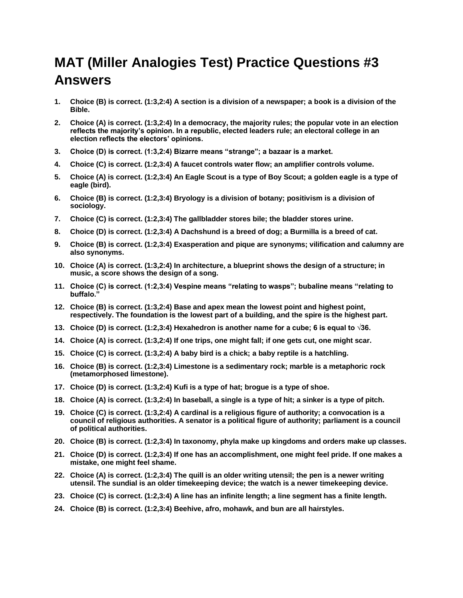## **MAT (Miller Analogies Test) Practice Questions #3 Answers**

- **1. Choice (B) is correct. (1:3,2:4) A section is a division of a newspaper; a book is a division of the Bible.**
- **2. Choice (A) is correct. (1:3,2:4) In a democracy, the majority rules; the popular vote in an election reflects the majority's opinion. In a republic, elected leaders rule; an electoral college in an election reflects the electors' opinions.**
- **3. Choice (D) is correct. (1:3,2:4) Bizarre means "strange"; a bazaar is a market.**
- **4. Choice (C) is correct. (1:2,3:4) A faucet controls water flow; an amplifier controls volume.**
- **5. Choice (A) is correct. (1:2,3:4) An Eagle Scout is a type of Boy Scout; a golden eagle is a type of eagle (bird).**
- **6. Choice (B) is correct. (1:2,3:4) Bryology is a division of botany; positivism is a division of sociology.**
- **7. Choice (C) is correct. (1:2,3:4) The gallbladder stores bile; the bladder stores urine.**
- **8. Choice (D) is correct. (1:2,3:4) A Dachshund is a breed of dog; a Burmilla is a breed of cat.**
- **9. Choice (B) is correct. (1:2,3:4) Exasperation and pique are synonyms; vilification and calumny are also synonyms.**
- **10. Choice (A) is correct. (1:3,2:4) In architecture, a blueprint shows the design of a structure; in music, a score shows the design of a song.**
- **11. Choice (C) is correct. (1:2,3:4) Vespine means "relating to wasps"; bubaline means "relating to buffalo."**
- **12. Choice (B) is correct. (1:3,2:4) Base and apex mean the lowest point and highest point, respectively. The foundation is the lowest part of a building, and the spire is the highest part.**
- **13. Choice (D) is correct. (1:2,3:4) Hexahedron is another name for a cube; 6 is equal to √36.**
- **14. Choice (A) is correct. (1:3,2:4) If one trips, one might fall; if one gets cut, one might scar.**
- **15. Choice (C) is correct. (1:3,2:4) A baby bird is a chick; a baby reptile is a hatchling.**
- **16. Choice (B) is correct. (1:2,3:4) Limestone is a sedimentary rock; marble is a metaphoric rock (metamorphosed limestone).**
- **17. Choice (D) is correct. (1:3,2:4) Kufi is a type of hat; brogue is a type of shoe.**
- **18. Choice (A) is correct. (1:3,2:4) In baseball, a single is a type of hit; a sinker is a type of pitch.**
- **19. Choice (C) is correct. (1:3,2:4) A cardinal is a religious figure of authority; a convocation is a council of religious authorities. A senator is a political figure of authority; parliament is a council of political authorities.**
- **20. Choice (B) is correct. (1:2,3:4) In taxonomy, phyla make up kingdoms and orders make up classes.**
- **21. Choice (D) is correct. (1:2,3:4) If one has an accomplishment, one might feel pride. If one makes a mistake, one might feel shame.**
- **22. Choice (A) is correct. (1:2,3:4) The quill is an older writing utensil; the pen is a newer writing utensil. The sundial is an older timekeeping device; the watch is a newer timekeeping device.**
- **23. Choice (C) is correct. (1:2,3:4) A line has an infinite length; a line segment has a finite length.**
- **24. Choice (B) is correct. (1:2,3:4) Beehive, afro, mohawk, and bun are all hairstyles.**